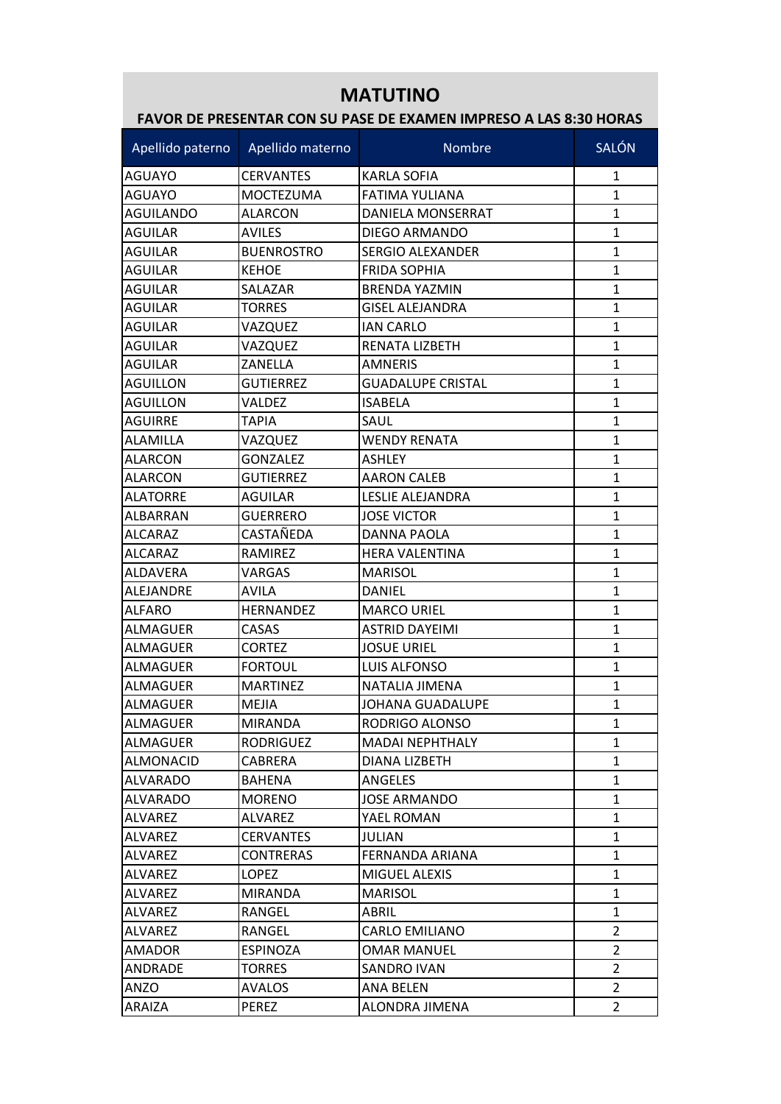## **MATUTINO**

## **FAVOR DE PRESENTAR CON SU PASE DE EXAMEN IMPRESO A LAS 8:30 HORAS**

| Apellido paterno | Apellido materno  | <b>Nombre</b>            | <b>SALÓN</b>   |
|------------------|-------------------|--------------------------|----------------|
| <b>AGUAYO</b>    | <b>CERVANTES</b>  | <b>KARLA SOFIA</b>       | 1              |
| IAGUAYO          | <b>MOCTEZUMA</b>  | <b>FATIMA YULIANA</b>    | $\mathbf{1}$   |
| <b>AGUILANDO</b> | <b>ALARCON</b>    | DANIELA MONSERRAT        | $\mathbf{1}$   |
| <b>AGUILAR</b>   | <b>AVILES</b>     | DIEGO ARMANDO            | $\mathbf{1}$   |
| <b>AGUILAR</b>   | <b>BUENROSTRO</b> | <b>SERGIO ALEXANDER</b>  | $\mathbf{1}$   |
| <b>AGUILAR</b>   | <b>KEHOE</b>      | <b>FRIDA SOPHIA</b>      | 1              |
| IAGUILAR         | SALAZAR           | <b>BRENDA YAZMIN</b>     | $\mathbf{1}$   |
| <b>AGUILAR</b>   | <b>TORRES</b>     | <b>GISEL ALEJANDRA</b>   | $\mathbf{1}$   |
| <b>AGUILAR</b>   | VAZQUEZ           | <b>IAN CARLO</b>         | $\mathbf{1}$   |
| <b>AGUILAR</b>   | VAZQUEZ           | RENATA LIZBETH           | 1              |
| <b>AGUILAR</b>   | ZANELLA           | <b>AMNERIS</b>           | 1              |
| <b>AGUILLON</b>  | <b>GUTIERREZ</b>  | <b>GUADALUPE CRISTAL</b> | $\mathbf{1}$   |
| <b>AGUILLON</b>  | VALDEZ            | <b>ISABELA</b>           | $\mathbf{1}$   |
| <b>AGUIRRE</b>   | TAPIA             | SAUL                     | 1              |
| <b>ALAMILLA</b>  | VAZQUEZ           | <b>WENDY RENATA</b>      | 1              |
| <b>ALARCON</b>   | <b>GONZALEZ</b>   | <b>ASHLEY</b>            | 1              |
| <b>ALARCON</b>   | <b>GUTIERREZ</b>  | <b>AARON CALEB</b>       | $\mathbf{1}$   |
| <b>ALATORRE</b>  | <b>AGUILAR</b>    | LESLIE ALEJANDRA         | $\mathbf{1}$   |
| ALBARRAN         | <b>GUERRERO</b>   | <b>JOSE VICTOR</b>       | $\mathbf{1}$   |
| <b>ALCARAZ</b>   | CASTAÑEDA         | DANNA PAOLA              | 1              |
| <b>ALCARAZ</b>   | RAMIREZ           | HERA VALENTINA           | 1              |
| <b>ALDAVERA</b>  | VARGAS            | <b>MARISOL</b>           | $\mathbf{1}$   |
| ALEJANDRE        | <b>AVILA</b>      | DANIEL                   | 1              |
| IALFARO          | <b>HERNANDEZ</b>  | <b>MARCO URIEL</b>       | 1              |
| <b>ALMAGUER</b>  | CASAS             | <b>ASTRID DAYEIMI</b>    | $\mathbf{1}$   |
| ALMAGUER         | <b>CORTEZ</b>     | <b>JOSUE URIEL</b>       | 1              |
| <b>ALMAGUER</b>  | <b>FORTOUL</b>    | <b>LUIS ALFONSO</b>      | $\mathbf{1}$   |
| <b>ALMAGUER</b>  | <b>MARTINEZ</b>   | NATALIA JIMENA           | $\mathbf{1}$   |
| ALMAGUER         | MEJIA             | JOHANA GUADALUPE         | 1              |
| ALMAGUER         | <b>MIRANDA</b>    | RODRIGO ALONSO           | 1              |
| ALMAGUER         | <b>RODRIGUEZ</b>  | <b>MADAI NEPHTHALY</b>   | $\mathbf{1}$   |
| ALMONACID        | CABRERA           | DIANA LIZBETH            | 1              |
| <b>ALVARADO</b>  | <b>BAHENA</b>     | <b>ANGELES</b>           | 1              |
| <b>ALVARADO</b>  | <b>MORENO</b>     | <b>JOSE ARMANDO</b>      | 1              |
| <b>ALVAREZ</b>   | ALVAREZ           | YAEL ROMAN               | $\mathbf{1}$   |
| <b>ALVAREZ</b>   | <b>CERVANTES</b>  | <b>JULIAN</b>            | 1              |
| ALVAREZ          | <b>CONTRERAS</b>  | FERNANDA ARIANA          | 1              |
| <b>ALVAREZ</b>   | <b>LOPEZ</b>      | MIGUEL ALEXIS            | 1              |
| <b>ALVAREZ</b>   | <b>MIRANDA</b>    | <b>MARISOL</b>           | 1              |
| <b>ALVAREZ</b>   | RANGEL            | ABRIL                    | $\mathbf{1}$   |
| <b>ALVAREZ</b>   | RANGEL            | CARLO EMILIANO           | $\overline{2}$ |
| AMADOR           | <b>ESPINOZA</b>   | OMAR MANUEL              | $\overline{2}$ |
| <b>ANDRADE</b>   | <b>TORRES</b>     | <b>SANDRO IVAN</b>       | $\overline{2}$ |
| <b>ANZO</b>      | <b>AVALOS</b>     | ANA BELEN                | $\overline{2}$ |
| ARAIZA           | <b>PEREZ</b>      | ALONDRA JIMENA           | 2              |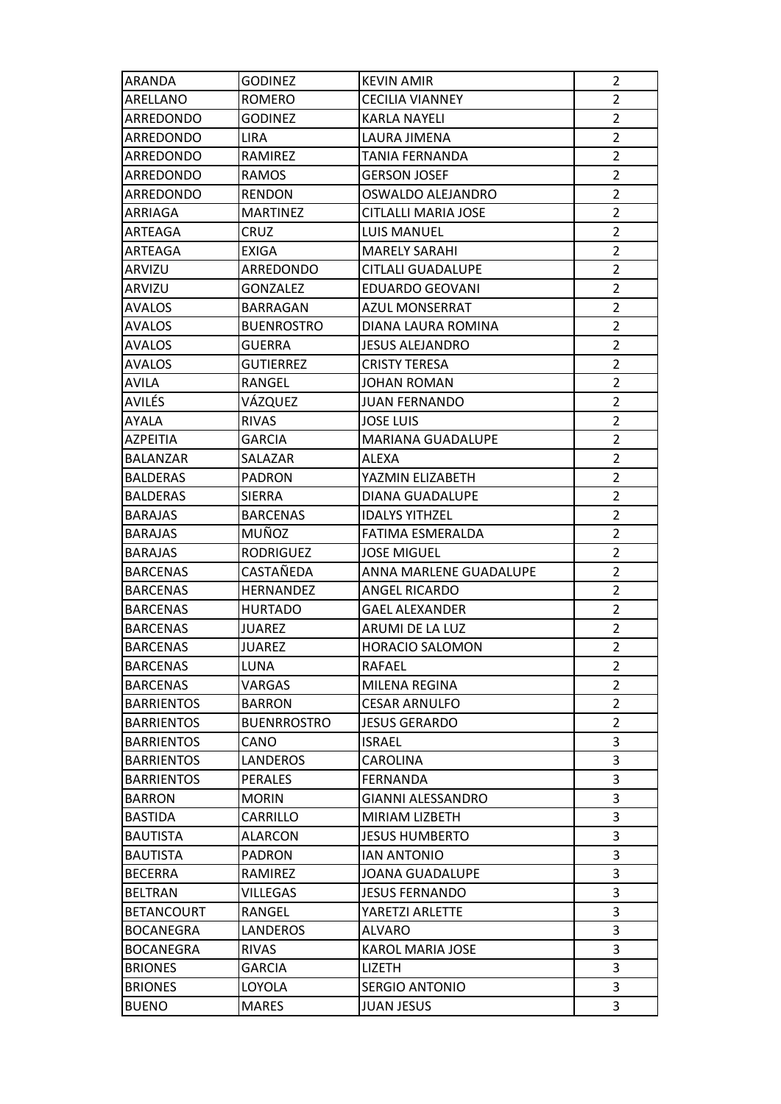| ARANDA            | <b>GODINEZ</b>     | <b>KEVIN AMIR</b>        | 2              |
|-------------------|--------------------|--------------------------|----------------|
| ARELLANO          | ROMERO             | <b>CECILIA VIANNEY</b>   | $\overline{2}$ |
| ARREDONDO         | <b>GODINEZ</b>     | KARLA NAYELI             | $\overline{2}$ |
| ARREDONDO         | <b>LIRA</b>        | LAURA JIMENA             | $\overline{2}$ |
| ARREDONDO         | <b>RAMIREZ</b>     | TANIA FERNANDA           | $\overline{2}$ |
| ARREDONDO         | <b>RAMOS</b>       | <b>GERSON JOSEF</b>      | $\overline{2}$ |
| ARREDONDO         | <b>RENDON</b>      | OSWALDO ALEJANDRO        | $\overline{2}$ |
| ARRIAGA           | <b>MARTINEZ</b>    | CITLALLI MARIA JOSE      | $\overline{2}$ |
| ARTEAGA           | CRUZ               | LUIS MANUEL              | $\overline{2}$ |
| ARTEAGA           | <b>EXIGA</b>       | <b>MARELY SARAHI</b>     | $\overline{2}$ |
| ARVIZU            | ARREDONDO          | <b>CITLALI GUADALUPE</b> | $\overline{2}$ |
| ARVIZU            | <b>GONZALEZ</b>    | EDUARDO GEOVANI          | $\overline{2}$ |
| <b>AVALOS</b>     | BARRAGAN           | <b>AZUL MONSERRAT</b>    | $\overline{2}$ |
| AVALOS            | <b>BUENROSTRO</b>  | DIANA LAURA ROMINA       | $\overline{2}$ |
| <b>AVALOS</b>     | <b>GUERRA</b>      | JESUS ALEJANDRO          | $\overline{2}$ |
| <b>AVALOS</b>     | <b>GUTIERREZ</b>   | <b>CRISTY TERESA</b>     | $\overline{2}$ |
| <b>AVILA</b>      | RANGEL             | <b>JOHAN ROMAN</b>       | $\overline{2}$ |
| AVILÉS            | VÁZQUEZ            | <b>JUAN FERNANDO</b>     | $\overline{2}$ |
| AYALA             | <b>RIVAS</b>       | <b>JOSE LUIS</b>         | $\overline{2}$ |
| AZPEITIA          | GARCIA             | MARIANA GUADALUPE        | $\overline{2}$ |
| BALANZAR          | SALAZAR            | ALEXA                    | $\overline{2}$ |
| <b>BALDERAS</b>   | <b>PADRON</b>      | YAZMIN ELIZABETH         | $\overline{2}$ |
| <b>BALDERAS</b>   | SIERRA             | DIANA GUADALUPE          | $\overline{2}$ |
| <b>BARAJAS</b>    | <b>BARCENAS</b>    | <b>IDALYS YITHZEL</b>    | $\overline{2}$ |
| <b>BARAJAS</b>    | <b>MUÑOZ</b>       | FATIMA ESMERALDA         | $\overline{2}$ |
|                   |                    |                          |                |
| <b>BARAJAS</b>    | <b>RODRIGUEZ</b>   | <b>JOSE MIGUEL</b>       | $\overline{2}$ |
| <b>BARCENAS</b>   | CASTAÑEDA          | ANNA MARLENE GUADALUPE   | $\overline{2}$ |
| <b>BARCENAS</b>   | HERNANDEZ          | ANGEL RICARDO            | $\overline{2}$ |
| <b>BARCENAS</b>   | <b>HURTADO</b>     | <b>GAEL ALEXANDER</b>    | $\overline{2}$ |
| <b>BARCENAS</b>   | <b>JUAREZ</b>      | ARUMI DE LA LUZ          | $\overline{2}$ |
| <b>BARCENAS</b>   | JUAREZ             | <b>HORACIO SALOMON</b>   | $\overline{2}$ |
| <b>BARCENAS</b>   | LUNA               | <b>RAFAEL</b>            | 2              |
| <b>BARCENAS</b>   | VARGAS             | MILENA REGINA            | 2              |
| <b>BARRIENTOS</b> | <b>BARRON</b>      | <b>CESAR ARNULFO</b>     | $\overline{2}$ |
| <b>BARRIENTOS</b> | <b>BUENRROSTRO</b> | <b>JESUS GERARDO</b>     | $\overline{2}$ |
| <b>BARRIENTOS</b> | CANO               | <b>ISRAEL</b>            | 3              |
| <b>BARRIENTOS</b> | <b>LANDEROS</b>    | CAROLINA                 | 3              |
| <b>BARRIENTOS</b> | <b>PERALES</b>     | FERNANDA                 | 3              |
| <b>BARRON</b>     | <b>MORIN</b>       | <b>GIANNI ALESSANDRO</b> | 3              |
| <b>BASTIDA</b>    | CARRILLO           | MIRIAM LIZBETH           | 3              |
| <b>BAUTISTA</b>   | <b>ALARCON</b>     | <b>JESUS HUMBERTO</b>    | 3              |
| <b>BAUTISTA</b>   | <b>PADRON</b>      | <b>IAN ANTONIO</b>       | 3              |
| <b>BECERRA</b>    | RAMIREZ            | <b>JOANA GUADALUPE</b>   | 3              |
| <b>BELTRAN</b>    | <b>VILLEGAS</b>    | <b>JESUS FERNANDO</b>    | 3              |
| <b>BETANCOURT</b> | RANGEL             | YARETZI ARLETTE          | 3              |
| <b>BOCANEGRA</b>  | <b>LANDEROS</b>    | <b>ALVARO</b>            | 3              |
| <b>BOCANEGRA</b>  | <b>RIVAS</b>       | <b>KAROL MARIA JOSE</b>  | 3              |
| <b>BRIONES</b>    | <b>GARCIA</b>      | <b>LIZETH</b>            | 3              |
| <b>BRIONES</b>    | LOYOLA             | <b>SERGIO ANTONIO</b>    | 3              |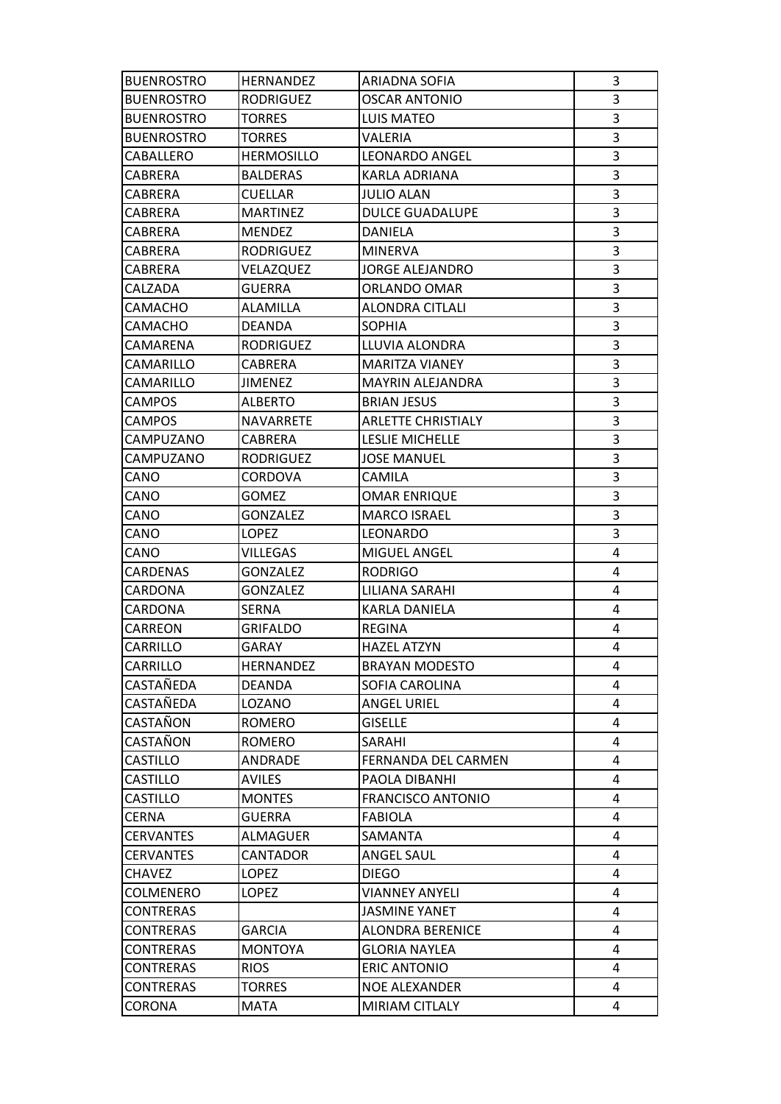| <b>BUENROSTRO</b> | <b>HERNANDEZ</b>  | ARIADNA SOFIA             | 3 |
|-------------------|-------------------|---------------------------|---|
| <b>BUENROSTRO</b> | <b>RODRIGUEZ</b>  | <b>OSCAR ANTONIO</b>      | 3 |
| <b>BUENROSTRO</b> | <b>TORRES</b>     | <b>LUIS MATEO</b>         | 3 |
| <b>BUENROSTRO</b> | <b>TORRES</b>     | VALERIA                   | 3 |
| CABALLERO         | <b>HERMOSILLO</b> | <b>LEONARDO ANGEL</b>     | 3 |
| CABRERA           | <b>BALDERAS</b>   | KARLA ADRIANA             | 3 |
| CABRERA           | <b>CUELLAR</b>    | <b>JULIO ALAN</b>         | 3 |
| <b>CABRERA</b>    | <b>MARTINEZ</b>   | <b>DULCE GUADALUPE</b>    | 3 |
| CABRERA           | <b>MENDEZ</b>     | DANIELA                   | 3 |
| <b>CABRERA</b>    | RODRIGUEZ         | <b>MINERVA</b>            | 3 |
| CABRERA           | VELAZQUEZ         | <b>JORGE ALEJANDRO</b>    | 3 |
| CALZADA           | <b>GUERRA</b>     | ORLANDO OMAR              | 3 |
| CAMACHO           | ALAMILLA          | ALONDRA CITLALI           | 3 |
| CAMACHO           | <b>DEANDA</b>     | <b>SOPHIA</b>             | 3 |
| CAMARENA          | <b>RODRIGUEZ</b>  | LLUVIA ALONDRA            | 3 |
| CAMARILLO         | CABRERA           | <b>MARITZA VIANEY</b>     | 3 |
| CAMARILLO         | <b>JIMENEZ</b>    | <b>MAYRIN ALEJANDRA</b>   | 3 |
| <b>CAMPOS</b>     | ALBERTO           | <b>BRIAN JESUS</b>        | 3 |
| <b>CAMPOS</b>     | <b>NAVARRETE</b>  | <b>ARLETTE CHRISTIALY</b> | 3 |
| CAMPUZANO         | CABRERA           | <b>LESLIE MICHELLE</b>    | 3 |
| CAMPUZANO         | <b>RODRIGUEZ</b>  | <b>JOSE MANUEL</b>        | 3 |
| CANO              | <b>CORDOVA</b>    | CAMILA                    | 3 |
| CANO              | <b>GOMEZ</b>      | OMAR ENRIQUE              | 3 |
| CANO              | <b>GONZALEZ</b>   | <b>MARCO ISRAEL</b>       | 3 |
| CANO              | LOPEZ             | LEONARDO                  | 3 |
| CANO              | VILLEGAS          | MIGUEL ANGEL              | 4 |
| CARDENAS          | <b>GONZALEZ</b>   | <b>RODRIGO</b>            | 4 |
| CARDONA           | <b>GONZALEZ</b>   | LILIANA SARAHI            | 4 |
| CARDONA           | SERNA             | KARLA DANIELA             | 4 |
| CARREON           | GRIFALDO          | REGINA                    | 4 |
| CARRILLO          | GARAY             | <b>HAZEL ATZYN</b>        | 4 |
| CARRILLO          | <b>HERNANDEZ</b>  | <b>BRAYAN MODESTO</b>     | 4 |
| CASTAÑEDA         | DEANDA            | SOFIA CAROLINA            | 4 |
| CASTAÑEDA         | LOZANO            | <b>ANGEL URIEL</b>        | 4 |
| CASTAÑON          | ROMERO            | <b>GISELLE</b>            | 4 |
| CASTAÑON          | ROMERO            | SARAHI                    | 4 |
| <b>CASTILLO</b>   | ANDRADE           | FERNANDA DEL CARMEN       | 4 |
| <b>CASTILLO</b>   | AVILES            | PAOLA DIBANHI             | 4 |
| <b>CASTILLO</b>   | <b>MONTES</b>     | <b>FRANCISCO ANTONIO</b>  | 4 |
| CERNA             | <b>GUERRA</b>     | <b>FABIOLA</b>            | 4 |
| <b>CERVANTES</b>  | ALMAGUER          | SAMANTA                   | 4 |
| <b>CERVANTES</b>  | CANTADOR          | <b>ANGEL SAUL</b>         | 4 |
| <b>CHAVEZ</b>     | LOPEZ             | <b>DIEGO</b>              | 4 |
| <b>COLMENERO</b>  | LOPEZ             | <b>VIANNEY ANYELI</b>     | 4 |
| <b>CONTRERAS</b>  |                   | JASMINE YANET             | 4 |
| <b>CONTRERAS</b>  | <b>GARCIA</b>     | <b>ALONDRA BERENICE</b>   | 4 |
| <b>CONTRERAS</b>  | <b>MONTOYA</b>    | <b>GLORIA NAYLEA</b>      | 4 |
| CONTRERAS         | <b>RIOS</b>       | <b>ERIC ANTONIO</b>       | 4 |
| <b>CONTRERAS</b>  | <b>TORRES</b>     | NOE ALEXANDER             | 4 |
| CORONA            | MATA              | MIRIAM CITLALY            | 4 |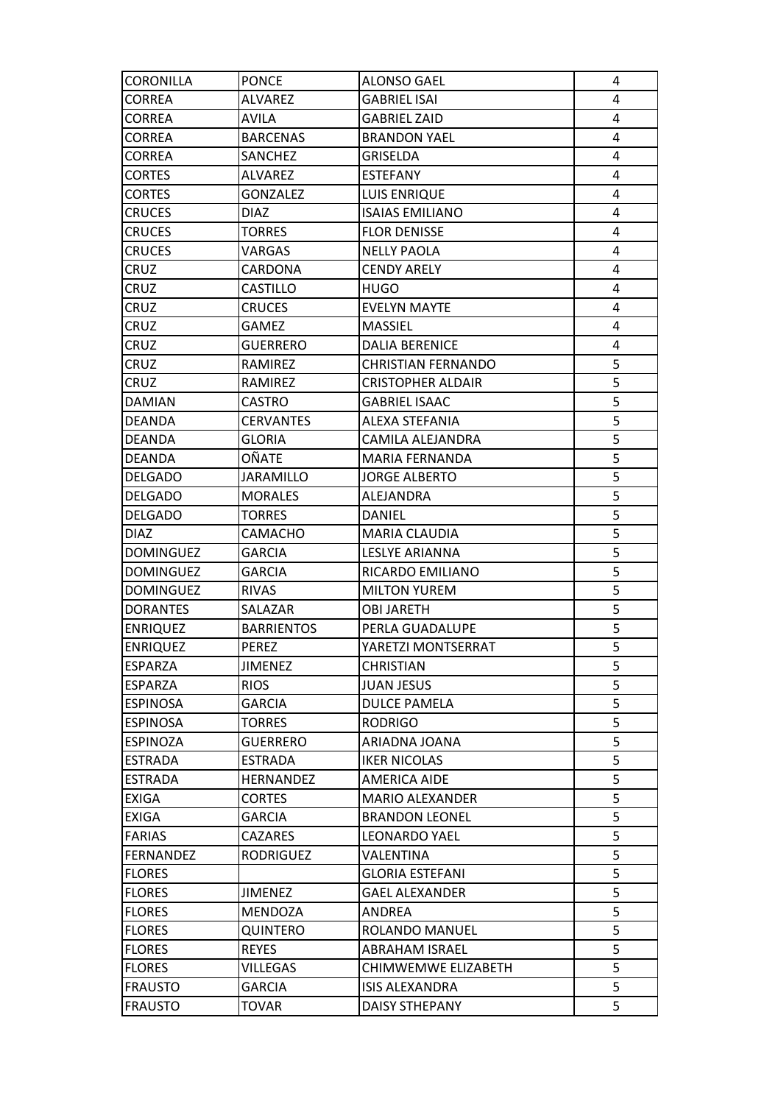| CORONILLA        | <b>PONCE</b>      | <b>ALONSO GAEL</b>        | 4 |
|------------------|-------------------|---------------------------|---|
| <b>CORREA</b>    | <b>ALVAREZ</b>    | <b>GABRIEL ISAI</b>       | 4 |
| <b>CORREA</b>    | AVILA             | <b>GABRIEL ZAID</b>       | 4 |
| <b>CORREA</b>    | <b>BARCENAS</b>   | <b>BRANDON YAEL</b>       | 4 |
| <b>CORREA</b>    | SANCHEZ           | GRISELDA                  | 4 |
| <b>CORTES</b>    | ALVAREZ           | <b>ESTEFANY</b>           | 4 |
| <b>CORTES</b>    | <b>GONZALEZ</b>   | LUIS ENRIQUE              | 4 |
| <b>CRUCES</b>    | <b>DIAZ</b>       | <b>ISAIAS EMILIANO</b>    | 4 |
| <b>CRUCES</b>    | TORRES            | <b>FLOR DENISSE</b>       | 4 |
| <b>CRUCES</b>    | VARGAS            | <b>NELLY PAOLA</b>        | 4 |
| CRUZ             | CARDONA           | <b>CENDY ARELY</b>        | 4 |
| CRUZ             | CASTILLO          | HUGO                      | 4 |
| CRUZ             | <b>CRUCES</b>     | <b>EVELYN MAYTE</b>       | 4 |
| CRUZ             | GAMEZ             | <b>MASSIEL</b>            | 4 |
| CRUZ             | <b>GUERRERO</b>   | <b>DALIA BERENICE</b>     | 4 |
| CRUZ             | RAMIREZ           | <b>CHRISTIAN FERNANDO</b> | 5 |
| CRUZ             | RAMIREZ           | <b>CRISTOPHER ALDAIR</b>  | 5 |
| <b>DAMIAN</b>    | CASTRO            | <b>GABRIEL ISAAC</b>      | 5 |
| <b>DEANDA</b>    | <b>CERVANTES</b>  | ALEXA STEFANIA            | 5 |
| <b>DEANDA</b>    | GLORIA            | CAMILA ALEJANDRA          | 5 |
| DEANDA           | OÑATE             | MARIA FERNANDA            | 5 |
| <b>DELGADO</b>   | <b>JARAMILLO</b>  | <b>JORGE ALBERTO</b>      | 5 |
| <b>DELGADO</b>   | <b>MORALES</b>    | ALEJANDRA                 | 5 |
| DELGADO          | TORRES            | DANIEL                    | 5 |
| DIAZ.            | CAMACHO           | MARIA CLAUDIA             | 5 |
| <b>DOMINGUEZ</b> | <b>GARCIA</b>     | <b>LESLYE ARIANNA</b>     | 5 |
| DOMINGUEZ        | <b>GARCIA</b>     | RICARDO EMILIANO          | 5 |
| <b>DOMINGUEZ</b> | <b>RIVAS</b>      | <b>MILTON YUREM</b>       | 5 |
| <b>DORANTES</b>  | SALAZAR           | <b>OBI JARETH</b>         | 5 |
| <b>ENRIQUEZ</b>  | <b>BARRIENTOS</b> | PERLA GUADALUPE           | 5 |
| <b>ENRIQUEZ</b>  | PEREZ             | YARETZI MONTSERRAT        | 5 |
| <b>ESPARZA</b>   | <b>JIMENEZ</b>    | <b>CHRISTIAN</b>          | 5 |
| ESPARZA          | <b>RIOS</b>       | <b>JUAN JESUS</b>         | 5 |
| <b>ESPINOSA</b>  | <b>GARCIA</b>     | <b>DULCE PAMELA</b>       | 5 |
| <b>ESPINOSA</b>  | <b>TORRES</b>     | <b>RODRIGO</b>            | 5 |
| <b>ESPINOZA</b>  | <b>GUERRERO</b>   | ARIADNA JOANA             | 5 |
| <b>ESTRADA</b>   | <b>ESTRADA</b>    | <b>IKER NICOLAS</b>       | 5 |
| <b>ESTRADA</b>   | HERNANDEZ         | <b>AMERICA AIDE</b>       | 5 |
| <b>EXIGA</b>     | <b>CORTES</b>     | <b>MARIO ALEXANDER</b>    | 5 |
| <b>EXIGA</b>     | GARCIA            | <b>BRANDON LEONEL</b>     | 5 |
| <b>FARIAS</b>    | <b>CAZARES</b>    | <b>LEONARDO YAEL</b>      | 5 |
| <b>FERNANDEZ</b> | <b>RODRIGUEZ</b>  | VALENTINA                 | 5 |
| <b>FLORES</b>    |                   | <b>GLORIA ESTEFANI</b>    | 5 |
| <b>FLORES</b>    | <b>JIMENEZ</b>    | <b>GAEL ALEXANDER</b>     | 5 |
| <b>FLORES</b>    | MENDOZA           | ANDREA                    | 5 |
| <b>FLORES</b>    | <b>QUINTERO</b>   | ROLANDO MANUEL            | 5 |
| <b>FLORES</b>    | <b>REYES</b>      | <b>ABRAHAM ISRAEL</b>     | 5 |
| <b>FLORES</b>    | <b>VILLEGAS</b>   | CHIMWEMWE ELIZABETH       | 5 |
| <b>FRAUSTO</b>   | <b>GARCIA</b>     | <b>ISIS ALEXANDRA</b>     | 5 |
| <b>FRAUSTO</b>   | TOVAR             | DAISY STHEPANY            | 5 |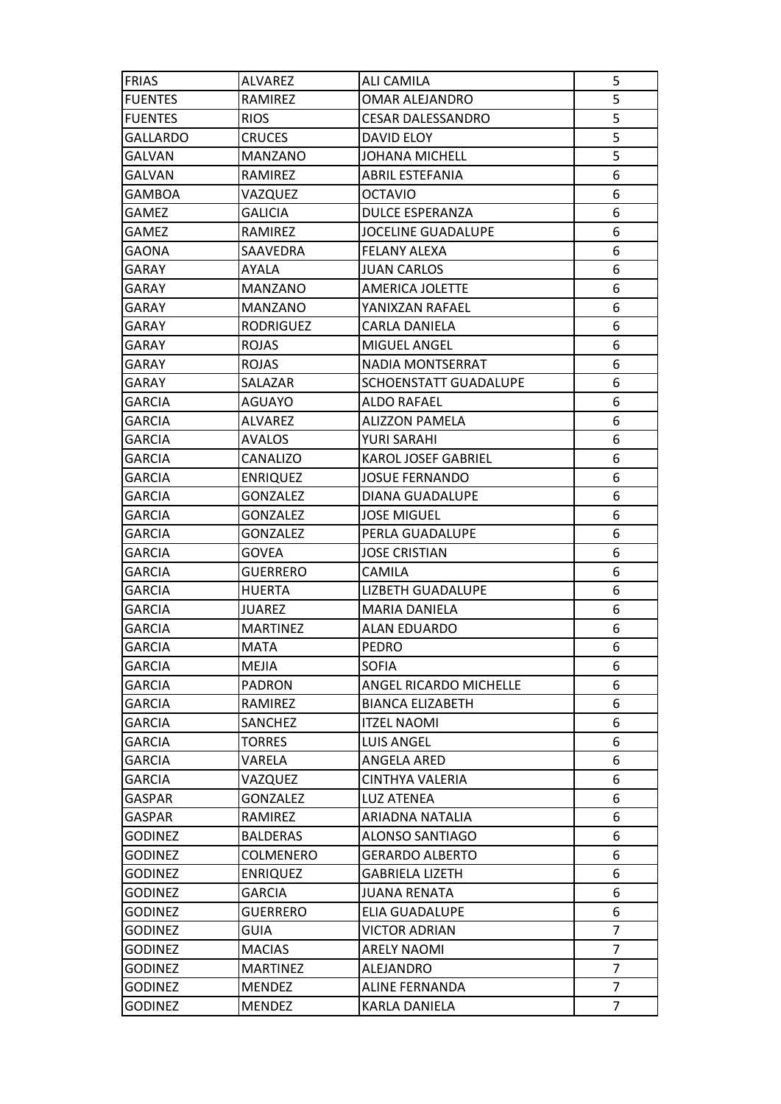| <b>FRIAS</b>    | ALVAREZ          | ALI CAMILA                 | 5              |
|-----------------|------------------|----------------------------|----------------|
| <b>FUENTES</b>  | RAMIREZ          | OMAR ALEJANDRO             | 5              |
| <b>FUENTES</b>  | <b>RIOS</b>      | <b>CESAR DALESSANDRO</b>   | 5              |
| <b>GALLARDO</b> | <b>CRUCES</b>    | DAVID ELOY                 | 5              |
| <b>GALVAN</b>   | MANZANO          | <b>JOHANA MICHELL</b>      | 5              |
| GALVAN          | <b>RAMIREZ</b>   | ABRIL ESTEFANIA            | 6              |
| GAMBOA          | VAZQUEZ          | <b>OCTAVIO</b>             | 6              |
| GAMEZ           | GALICIA          | DULCE ESPERANZA            | 6              |
| <b>GAMEZ</b>    | RAMIREZ          | <b>JOCELINE GUADALUPE</b>  | 6              |
| GAONA           | SAAVEDRA         | FELANY ALEXA               | 6              |
| GARAY           | AYALA            | JUAN CARLOS                | 6              |
| GARAY           | MANZANO          | AMERICA JOLETTE            | 6              |
| GARAY           | MANZANO          | YANIXZAN RAFAEL            | 6              |
| GARAY           | <b>RODRIGUEZ</b> | CARLA DANIELA              | 6              |
| GARAY           | <b>ROJAS</b>     | <b>MIGUEL ANGEL</b>        | 6              |
| GARAY           | <b>ROJAS</b>     | NADIA MONTSERRAT           | 6              |
| GARAY           | SALAZAR          | SCHOENSTATT GUADALUPE      | 6              |
| <b>GARCIA</b>   | AGUAYO           | <b>ALDO RAFAEL</b>         | 6              |
| <b>GARCIA</b>   | ALVAREZ          | <b>ALIZZON PAMELA</b>      | 6              |
| GARCIA          | <b>AVALOS</b>    | YURI SARAHI                | 6              |
| GARCIA          | CANALIZO         | <b>KAROL JOSEF GABRIEL</b> | 6              |
| GARCIA          | <b>ENRIQUEZ</b>  | <b>JOSUE FERNANDO</b>      | 6              |
| <b>GARCIA</b>   | <b>GONZALEZ</b>  | DIANA GUADALUPE            | 6              |
| <b>GARCIA</b>   | <b>GONZALEZ</b>  | <b>JOSE MIGUEL</b>         | 6              |
| GARCIA          | <b>GONZALEZ</b>  | PERLA GUADALUPE            | 6              |
| GARCIA          | GOVEA            | <b>JOSE CRISTIAN</b>       | 6              |
| GARCIA          | <b>GUERRERO</b>  | CAMILA                     | 6              |
| <b>GARCIA</b>   | <b>HUERTA</b>    | LIZBETH GUADALUPE          | 6              |
| <b>GARCIA</b>   | JUAREZ           | MARIA DANIELA              | 6              |
| GARCIA          | <b>MARTINEZ</b>  | <b>ALAN EDUARDO</b>        | 6              |
| <b>GARCIA</b>   | <b>MATA</b>      | <b>PEDRO</b>               | 6              |
| <b>GARCIA</b>   | <b>MEJIA</b>     | <b>SOFIA</b>               | 6              |
| <b>GARCIA</b>   | PADRON           | ANGEL RICARDO MICHELLE     | 6              |
| <b>GARCIA</b>   | RAMIREZ          | <b>BIANCA ELIZABETH</b>    | 6              |
| GARCIA          | SANCHEZ          | <b>ITZEL NAOMI</b>         | 6              |
| <b>GARCIA</b>   | <b>TORRES</b>    | <b>LUIS ANGEL</b>          | 6              |
| GARCIA          | VARELA           | ANGELA ARED                | 6              |
| GARCIA          | VAZQUEZ          | CINTHYA VALERIA            | 6              |
| <b>GASPAR</b>   | GONZALEZ         | <b>LUZ ATENEA</b>          | 6              |
| GASPAR          | RAMIREZ          | ARIADNA NATALIA            | 6              |
| <b>GODINEZ</b>  | <b>BALDERAS</b>  | ALONSO SANTIAGO            | 6              |
| <b>GODINEZ</b>  | COLMENERO        | <b>GERARDO ALBERTO</b>     | 6              |
| <b>GODINEZ</b>  | <b>ENRIQUEZ</b>  | <b>GABRIELA LIZETH</b>     | 6              |
| <b>GODINEZ</b>  | <b>GARCIA</b>    | <b>JUANA RENATA</b>        | 6              |
| <b>GODINEZ</b>  | <b>GUERRERO</b>  | ELIA GUADALUPE             | 6              |
| <b>GODINEZ</b>  | <b>GUIA</b>      | <b>VICTOR ADRIAN</b>       | $\overline{7}$ |
| <b>GODINEZ</b>  | <b>MACIAS</b>    | <b>ARELY NAOMI</b>         | $\overline{7}$ |
| <b>GODINEZ</b>  | <b>MARTINEZ</b>  | ALEJANDRO                  | 7              |
| <b>GODINEZ</b>  | <b>MENDEZ</b>    | <b>ALINE FERNANDA</b>      | $\overline{7}$ |
| <b>GODINEZ</b>  | <b>MENDEZ</b>    | KARLA DANIELA              | $\overline{7}$ |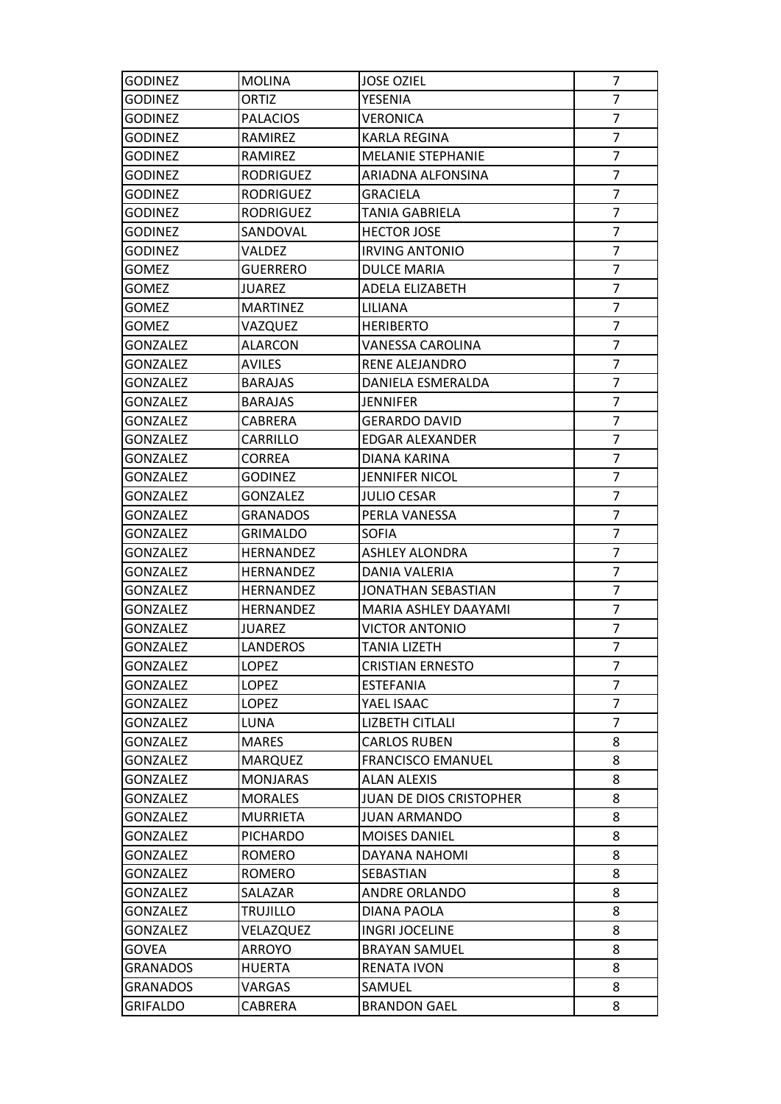| <b>GODINEZ</b>  | <b>MOLINA</b>    | <b>JOSE OZIEL</b>              | 7              |
|-----------------|------------------|--------------------------------|----------------|
| <b>GODINEZ</b>  | <b>ORTIZ</b>     | YESENIA                        | $\overline{7}$ |
| <b>GODINEZ</b>  | <b>PALACIOS</b>  | VERONICA                       | $\overline{7}$ |
| <b>GODINEZ</b>  | RAMIREZ          | <b>KARLA REGINA</b>            | $\overline{7}$ |
| <b>GODINEZ</b>  | <b>RAMIREZ</b>   | <b>MELANIE STEPHANIE</b>       | $\overline{7}$ |
| <b>GODINEZ</b>  | RODRIGUEZ        | ARIADNA ALFONSINA              | $\overline{7}$ |
| <b>GODINEZ</b>  | RODRIGUEZ        | <b>GRACIELA</b>                | $\overline{7}$ |
| <b>GODINEZ</b>  | RODRIGUEZ        | TANIA GABRIELA                 | $\overline{7}$ |
| <b>GODINEZ</b>  | SANDOVAL         | <b>HECTOR JOSE</b>             | $\overline{7}$ |
| <b>GODINEZ</b>  | VALDEZ           | <b>IRVING ANTONIO</b>          | $\overline{7}$ |
| <b>GOMEZ</b>    | <b>GUERRERO</b>  | <b>DULCE MARIA</b>             | $\overline{7}$ |
| <b>GOMEZ</b>    | <b>JUAREZ</b>    | ADELA ELIZABETH                | $\overline{7}$ |
| <b>GOMEZ</b>    | <b>MARTINEZ</b>  | LILIANA                        | $\overline{7}$ |
| <b>GOMEZ</b>    | VAZQUEZ          | <b>HERIBERTO</b>               | $\overline{7}$ |
| <b>GONZALEZ</b> | ALARCON          | VANESSA CAROLINA               | $\overline{7}$ |
| <b>GONZALEZ</b> | AVILES           | RENE ALEJANDRO                 | $\overline{7}$ |
| <b>GONZALEZ</b> | <b>BARAJAS</b>   | DANIELA ESMERALDA              | $\overline{7}$ |
| <b>GONZALEZ</b> | <b>BARAJAS</b>   | JENNIFER                       | $\overline{7}$ |
| <b>GONZALEZ</b> | CABRERA          | <b>GERARDO DAVID</b>           | $\overline{7}$ |
| <b>GONZALEZ</b> | CARRILLO         | <b>EDGAR ALEXANDER</b>         | 7              |
| <b>GONZALEZ</b> | <b>CORREA</b>    | DIANA KARINA                   | $\overline{7}$ |
| <b>GONZALEZ</b> | GODINEZ          | <b>JENNIFER NICOL</b>          | $\overline{7}$ |
| <b>GONZALEZ</b> | GONZALEZ         | <b>JULIO CESAR</b>             | $\overline{7}$ |
| <b>GONZALEZ</b> | <b>GRANADOS</b>  | PERLA VANESSA                  | $\overline{7}$ |
| <b>GONZALEZ</b> | GRIMALDO         | <b>SOFIA</b>                   | $\overline{7}$ |
| <b>GONZALEZ</b> | HERNANDEZ        | <b>ASHLEY ALONDRA</b>          | 7              |
| <b>GONZALEZ</b> | HERNANDEZ        | DANIA VALERIA                  | $\overline{7}$ |
| <b>GONZALEZ</b> | <b>HERNANDEZ</b> | JONATHAN SEBASTIAN             | $\overline{7}$ |
| <b>GONZALEZ</b> | HERNANDEZ        | MARIA ASHLEY DAAYAMI           | $\overline{7}$ |
| <b>GONZALEZ</b> | JUAREZ           | <b>VICTOR ANTONIO</b>          | $\overline{7}$ |
| <b>GONZALEZ</b> | LANDEROS         | TANIA LIZETH                   | $\overline{7}$ |
| <b>GONZALEZ</b> | <b>LOPEZ</b>     | <b>CRISTIAN ERNESTO</b>        | 7              |
| <b>GONZALEZ</b> | LOPEZ            | ESTEFANIA                      | 7              |
| <b>GONZALEZ</b> | LOPEZ            | YAEL ISAAC                     | $\overline{7}$ |
| <b>GONZALEZ</b> | LUNA             | <b>LIZBETH CITLALI</b>         | $\overline{7}$ |
| <b>GONZALEZ</b> | <b>MARES</b>     | <b>CARLOS RUBEN</b>            | 8              |
| <b>GONZALEZ</b> | <b>MARQUEZ</b>   | <b>FRANCISCO EMANUEL</b>       | 8              |
| <b>GONZALEZ</b> | <b>MONJARAS</b>  | ALAN ALEXIS                    | 8              |
| <b>GONZALEZ</b> | <b>MORALES</b>   | <b>JUAN DE DIOS CRISTOPHER</b> | 8              |
| <b>GONZALEZ</b> | <b>MURRIETA</b>  | JUAN ARMANDO                   | 8              |
| <b>GONZALEZ</b> | <b>PICHARDO</b>  | <b>MOISES DANIEL</b>           | 8              |
| <b>GONZALEZ</b> | ROMERO           | DAYANA NAHOMI                  | 8              |
| <b>GONZALEZ</b> | <b>ROMERO</b>    | SEBASTIAN                      | 8              |
| <b>GONZALEZ</b> | SALAZAR          | <b>ANDRE ORLANDO</b>           | 8              |
| <b>GONZALEZ</b> | <b>TRUJILLO</b>  | DIANA PAOLA                    | 8              |
| <b>GONZALEZ</b> | VELAZQUEZ        | <b>INGRI JOCELINE</b>          | 8              |
| GOVEA           | ARROYO           | <b>BRAYAN SAMUEL</b>           | 8              |
| <b>GRANADOS</b> | HUERTA           | <b>RENATA IVON</b>             | 8              |
| <b>GRANADOS</b> | VARGAS           | SAMUEL                         | 8              |
| <b>GRIFALDO</b> | CABRERA          | <b>BRANDON GAEL</b>            | 8              |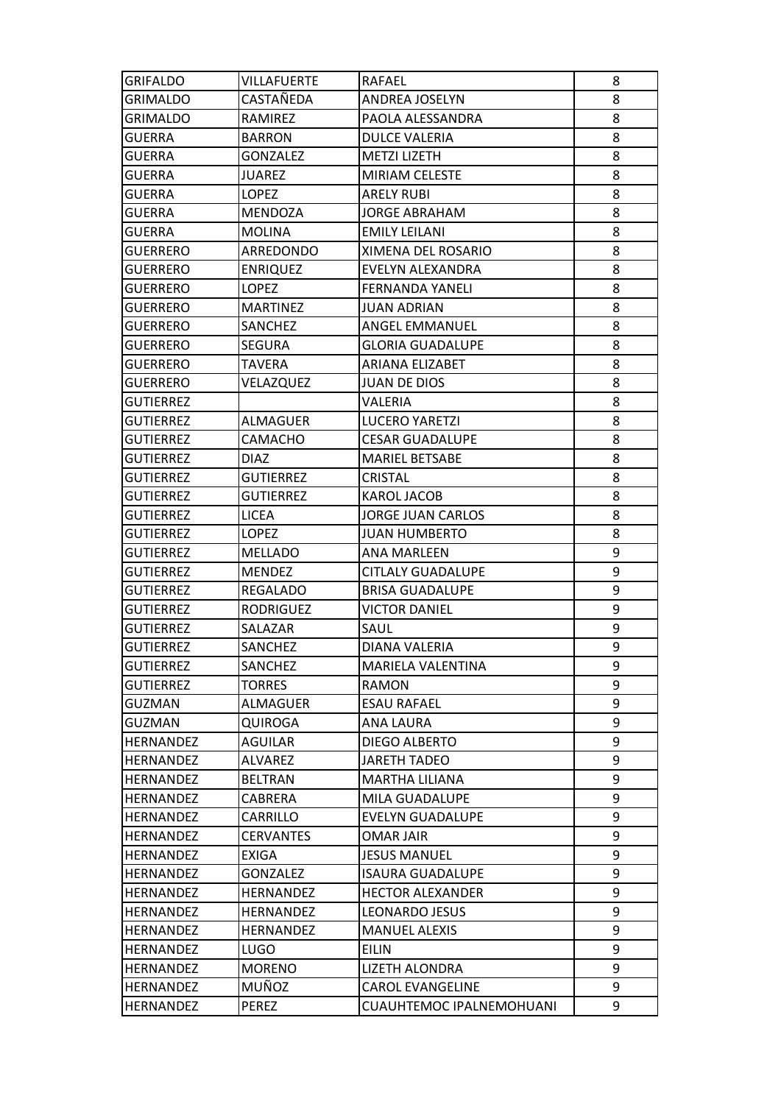| <b>GRIFALDO</b>  | VILLAFUERTE      | <b>RAFAEL</b>            | 8 |
|------------------|------------------|--------------------------|---|
| <b>GRIMALDO</b>  | CASTAÑEDA        | ANDREA JOSELYN           | 8 |
| GRIMALDO         | RAMIREZ          | PAOLA ALESSANDRA         | 8 |
| <b>GUERRA</b>    | <b>BARRON</b>    | DULCE VALERIA            | 8 |
| <b>GUERRA</b>    | <b>GONZALEZ</b>  | <b>METZI LIZETH</b>      | 8 |
| GUERRA           | <b>JUAREZ</b>    | MIRIAM CELESTE           | 8 |
| GUERRA           | LOPEZ            | <b>ARELY RUBI</b>        | 8 |
| GUERRA           | MENDOZA          | <b>JORGE ABRAHAM</b>     | 8 |
| GUERRA           | <b>MOLINA</b>    | <b>EMILY LEILANI</b>     | 8 |
| <b>GUERRERO</b>  | ARREDONDO        | XIMENA DEL ROSARIO       | 8 |
| <b>GUERRERO</b>  | <b>ENRIQUEZ</b>  | EVELYN ALEXANDRA         | 8 |
| <b>GUERRERO</b>  | LOPEZ            | <b>FERNANDA YANELI</b>   | 8 |
| GUERRERO         | <b>MARTINEZ</b>  | <b>JUAN ADRIAN</b>       | 8 |
| GUERRERO         | <b>SANCHEZ</b>   | ANGEL EMMANUEL           | 8 |
| <b>GUERRERO</b>  | <b>SEGURA</b>    | <b>GLORIA GUADALUPE</b>  | 8 |
| <b>GUERRERO</b>  | TAVERA           | ARIANA ELIZABET          | 8 |
| <b>GUERRERO</b>  | VELAZQUEZ        | JUAN DE DIOS             | 8 |
| GUTIERREZ        |                  | VALERIA                  | 8 |
| <b>GUTIERREZ</b> | ALMAGUER         | <b>LUCERO YARETZI</b>    | 8 |
| <b>GUTIERREZ</b> | CAMACHO          | <b>CESAR GUADALUPE</b>   | 8 |
| <b>GUTIERREZ</b> | <b>DIAZ</b>      | <b>MARIEL BETSABE</b>    | 8 |
| <b>GUTIERREZ</b> | <b>GUTIERREZ</b> | CRISTAL                  | 8 |
| GUTIERREZ        | <b>GUTIERREZ</b> | KAROL JACOB              | 8 |
| <b>GUTIERREZ</b> | <b>LICEA</b>     | <b>JORGE JUAN CARLOS</b> | 8 |
| <b>GUTIERREZ</b> | <b>LOPEZ</b>     | JUAN HUMBERTO            | 8 |
| <b>GUTIERREZ</b> | MELLADO          | <b>ANA MARLEEN</b>       | 9 |
| <b>GUTIERREZ</b> | <b>MENDEZ</b>    | <b>CITLALY GUADALUPE</b> | 9 |
| <b>GUTIERREZ</b> | REGALADO         | <b>BRISA GUADALUPE</b>   | 9 |
| <b>GUTIERREZ</b> | RODRIGUEZ        | <b>VICTOR DANIEL</b>     | 9 |
| <b>GUTIERREZ</b> | SALAZAR          | SAUL                     | 9 |
| <b>GUTIERREZ</b> | SANCHEZ          | DIANA VALERIA            | 9 |
| <b>GUTIERREZ</b> | <b>SANCHEZ</b>   | MARIELA VALENTINA        | 9 |
| <b>GUTIERREZ</b> | <b>TORRES</b>    | <b>RAMON</b>             | 9 |
| <b>GUZMAN</b>    | <b>ALMAGUER</b>  | <b>ESAU RAFAEL</b>       | 9 |
| <b>GUZMAN</b>    | QUIROGA          | ANA LAURA                | 9 |
| <b>HERNANDEZ</b> | <b>AGUILAR</b>   | <b>DIEGO ALBERTO</b>     | 9 |
| <b>HERNANDEZ</b> | ALVAREZ          | <b>JARETH TADEO</b>      | 9 |
| <b>HERNANDEZ</b> | <b>BELTRAN</b>   | MARTHA LILIANA           | 9 |
| <b>HERNANDEZ</b> | CABRERA          | MILA GUADALUPE           | 9 |
| <b>HERNANDEZ</b> | CARRILLO         | EVELYN GUADALUPE         | 9 |
| <b>HERNANDEZ</b> | <b>CERVANTES</b> | <b>OMAR JAIR</b>         | 9 |
| <b>HERNANDEZ</b> | <b>EXIGA</b>     | <b>JESUS MANUEL</b>      | 9 |
| <b>HERNANDEZ</b> | <b>GONZALEZ</b>  | <b>ISAURA GUADALUPE</b>  | 9 |
| <b>HERNANDEZ</b> | <b>HERNANDEZ</b> | <b>HECTOR ALEXANDER</b>  | 9 |
| <b>HERNANDEZ</b> | HERNANDEZ        | LEONARDO JESUS           | 9 |
| <b>HERNANDEZ</b> | <b>HERNANDEZ</b> | <b>MANUEL ALEXIS</b>     | 9 |
| <b>HERNANDEZ</b> | <b>LUGO</b>      | <b>EILIN</b>             | 9 |
| <b>HERNANDEZ</b> | <b>MORENO</b>    | LIZETH ALONDRA           | 9 |
| <b>HERNANDEZ</b> | MUÑOZ            | <b>CAROL EVANGELINE</b>  | 9 |
| HERNANDEZ        | PEREZ            | CUAUHTEMOC IPALNEMOHUANI | 9 |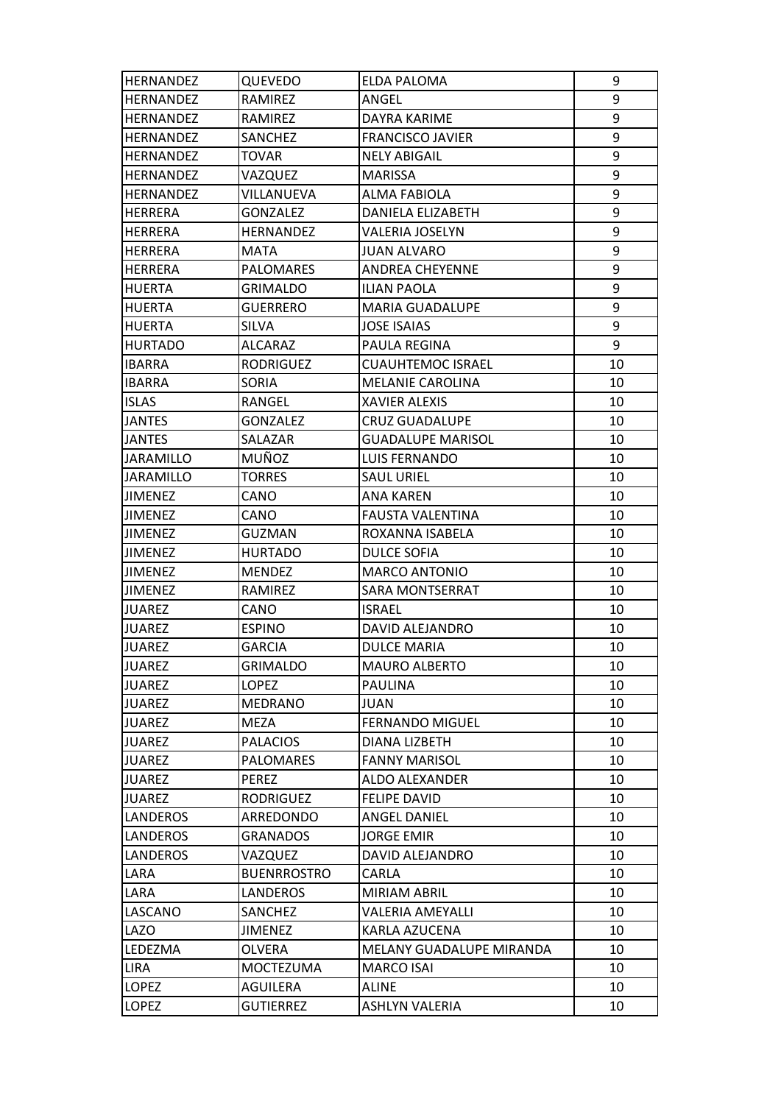| <b>HERNANDEZ</b> | QUEVEDO            | ELDA PALOMA              | 9  |
|------------------|--------------------|--------------------------|----|
| <b>HERNANDEZ</b> | <b>RAMIREZ</b>     | ANGEL                    | 9  |
| <b>HERNANDEZ</b> | RAMIREZ            | DAYRA KARIME             | 9  |
| <b>HERNANDEZ</b> | SANCHEZ            | <b>FRANCISCO JAVIER</b>  | 9  |
| <b>HERNANDEZ</b> | TOVAR              | <b>NELY ABIGAIL</b>      | 9  |
| <b>HERNANDEZ</b> | VAZQUEZ            | MARISSA                  | 9  |
| <b>HERNANDEZ</b> | VILLANUEVA         | <b>ALMA FABIOLA</b>      | 9  |
| HERRERA          | <b>GONZALEZ</b>    | DANIELA ELIZABETH        | 9  |
| <b>HERRERA</b>   | <b>HERNANDEZ</b>   | VALERIA JOSELYN          | 9  |
| <b>HERRERA</b>   | MATA               | <b>JUAN ALVARO</b>       | 9  |
| HERRERA          | <b>PALOMARES</b>   | <b>ANDREA CHEYENNE</b>   | 9  |
| HUERTA           | <b>GRIMALDO</b>    | <b>ILIAN PAOLA</b>       | 9  |
| <b>HUERTA</b>    | GUERRERO           | <b>MARIA GUADALUPE</b>   | 9  |
| <b>HUERTA</b>    | SILVA              | <b>JOSE ISAIAS</b>       | 9  |
| <b>HURTADO</b>   | ALCARAZ            | PAULA REGINA             | 9  |
| <b>IBARRA</b>    | <b>RODRIGUEZ</b>   | <b>CUAUHTEMOC ISRAEL</b> | 10 |
| <b>IBARRA</b>    | SORIA              | MELANIE CAROLINA         | 10 |
| <b>ISLAS</b>     | RANGEL             | XAVIER ALEXIS            | 10 |
| <b>JANTES</b>    | <b>GONZALEZ</b>    | <b>CRUZ GUADALUPE</b>    | 10 |
| <b>JANTES</b>    | SALAZAR            | <b>GUADALUPE MARISOL</b> | 10 |
| JARAMILLO        | MUÑOZ              | LUIS FERNANDO            | 10 |
| <b>JARAMILLO</b> | <b>TORRES</b>      | <b>SAUL URIEL</b>        | 10 |
| <b>JIMENEZ</b>   | CANO               | <b>ANA KAREN</b>         | 10 |
| <b>JIMENEZ</b>   | CANO               | FAUSTA VALENTINA         | 10 |
| <b>JIMENEZ</b>   | GUZMAN             | ROXANNA ISABELA          | 10 |
| <b>JIMENEZ</b>   | <b>HURTADO</b>     | <b>DULCE SOFIA</b>       | 10 |
| <b>JIMENEZ</b>   | <b>MENDEZ</b>      | <b>MARCO ANTONIO</b>     | 10 |
| <b>JIMENEZ</b>   | RAMIREZ            | SARA MONTSERRAT          | 10 |
| <b>JUAREZ</b>    | CANO               | <b>ISRAEL</b>            | 10 |
| <b>JUAREZ</b>    | <b>ESPINO</b>      | DAVID ALEJANDRO          | 10 |
| <b>JUAREZ</b>    | GARCIA             | <b>DULCE MARIA</b>       | 10 |
| <b>JUAREZ</b>    | <b>GRIMALDO</b>    | <b>MAURO ALBERTO</b>     | 10 |
| <b>JUAREZ</b>    | <b>LOPEZ</b>       | <b>PAULINA</b>           | 10 |
| <b>JUAREZ</b>    | <b>MEDRANO</b>     | JUAN                     | 10 |
| <b>JUAREZ</b>    | MEZA               | <b>FERNANDO MIGUEL</b>   | 10 |
| <b>JUAREZ</b>    | <b>PALACIOS</b>    | <b>DIANA LIZBETH</b>     | 10 |
| <b>JUAREZ</b>    | <b>PALOMARES</b>   | <b>FANNY MARISOL</b>     | 10 |
| <b>JUAREZ</b>    | <b>PEREZ</b>       | <b>ALDO ALEXANDER</b>    | 10 |
| <b>JUAREZ</b>    | <b>RODRIGUEZ</b>   | <b>FELIPE DAVID</b>      | 10 |
| LANDEROS         | ARREDONDO          | <b>ANGEL DANIEL</b>      | 10 |
| <b>LANDEROS</b>  | <b>GRANADOS</b>    | <b>JORGE EMIR</b>        | 10 |
| <b>LANDEROS</b>  | VAZQUEZ            | DAVID ALEJANDRO          | 10 |
| LARA             | <b>BUENRROSTRO</b> | CARLA                    | 10 |
| LARA             | <b>LANDEROS</b>    | MIRIAM ABRIL             | 10 |
| LASCANO          | SANCHEZ            | VALERIA AMEYALLI         | 10 |
| LAZO             | <b>JIMENEZ</b>     | KARLA AZUCENA            | 10 |
| LEDEZMA          | <b>OLVERA</b>      | MELANY GUADALUPE MIRANDA | 10 |
| <b>LIRA</b>      | <b>MOCTEZUMA</b>   | <b>MARCO ISAI</b>        | 10 |
| LOPEZ            | <b>AGUILERA</b>    | <b>ALINE</b>             | 10 |
| LOPEZ            | GUTIERREZ          | ASHLYN VALERIA           | 10 |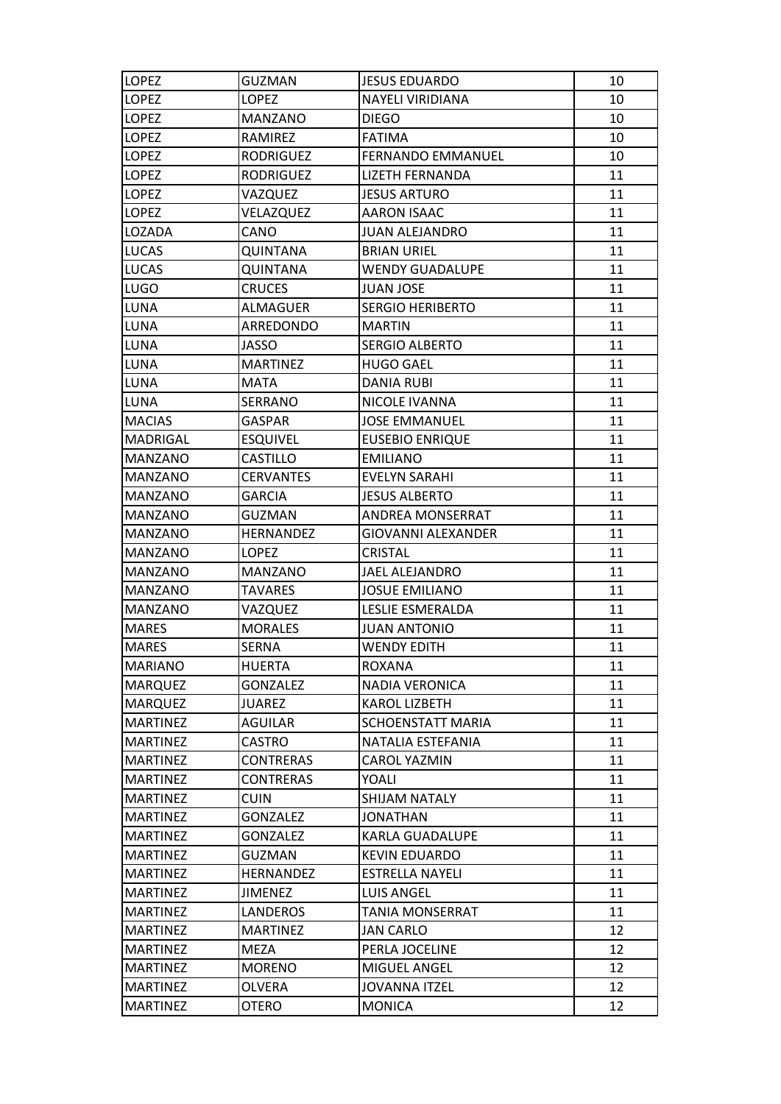| <b>LOPEZ</b>    | <b>GUZMAN</b>    | <b>JESUS EDUARDO</b>     | 10 |
|-----------------|------------------|--------------------------|----|
| <b>LOPEZ</b>    | <b>LOPEZ</b>     | NAYELI VIRIDIANA         | 10 |
| <b>LOPEZ</b>    | <b>MANZANO</b>   | DIEGO                    | 10 |
| <b>LOPEZ</b>    | RAMIREZ          | <b>FATIMA</b>            | 10 |
| LOPEZ           | RODRIGUEZ        | <b>FERNANDO EMMANUEL</b> | 10 |
| <b>LOPEZ</b>    | <b>RODRIGUEZ</b> | <b>LIZETH FERNANDA</b>   | 11 |
| <b>LOPEZ</b>    | VAZQUEZ          | <b>JESUS ARTURO</b>      | 11 |
| <b>LOPEZ</b>    | VELAZQUEZ        | <b>AARON ISAAC</b>       | 11 |
| LOZADA          | CANO             | <b>JUAN ALEJANDRO</b>    | 11 |
| LUCAS           | QUINTANA         | <b>BRIAN URIEL</b>       | 11 |
| <b>LUCAS</b>    | <b>QUINTANA</b>  | <b>WENDY GUADALUPE</b>   | 11 |
| <b>LUGO</b>     | CRUCES           | <b>JUAN JOSE</b>         | 11 |
| LUNA            | <b>ALMAGUER</b>  | <b>SERGIO HERIBERTO</b>  | 11 |
| LUNA            | ARREDONDO        | <b>MARTIN</b>            | 11 |
| LUNA            | JASSO            | <b>SERGIO ALBERTO</b>    | 11 |
| LUNA            | <b>MARTINEZ</b>  | <b>HUGO GAEL</b>         | 11 |
| LUNA            | <b>MATA</b>      | DANIA RUBI               | 11 |
| LUNA            | <b>SERRANO</b>   | NICOLE IVANNA            | 11 |
| <b>MACIAS</b>   | GASPAR           | <b>JOSE EMMANUEL</b>     | 11 |
| MADRIGAL        | <b>ESQUIVEL</b>  | <b>EUSEBIO ENRIQUE</b>   | 11 |
| MANZANO         | CASTILLO         | <b>EMILIANO</b>          | 11 |
| MANZANO         | <b>CERVANTES</b> | <b>EVELYN SARAHI</b>     | 11 |
| MANZANO         | <b>GARCIA</b>    | <b>JESUS ALBERTO</b>     | 11 |
| <b>MANZANO</b>  | GUZMAN           | ANDREA MONSERRAT         | 11 |
| MANZANO         | <b>HERNANDEZ</b> | GIOVANNI ALEXANDER       | 11 |
| MANZANO         | <b>LOPEZ</b>     | CRISTAL                  | 11 |
| <b>MANZANO</b>  | <b>MANZANO</b>   | JAEL ALEJANDRO           | 11 |
| MANZANO         | TAVARES          | <b>JOSUE EMILIANO</b>    | 11 |
| <b>MANZANO</b>  | VAZQUEZ          | LESLIE ESMERALDA         | 11 |
| <b>MARES</b>    | <b>MORALES</b>   | <b>JUAN ANTONIO</b>      | 11 |
| <b>MARES</b>    | SERNA            | <b>WENDY EDITH</b>       | 11 |
| <b>MARIANO</b>  | <b>HUERTA</b>    | <b>ROXANA</b>            | 11 |
| <b>MARQUEZ</b>  | GONZALEZ         | NADIA VERONICA           | 11 |
| <b>MARQUEZ</b>  | <b>JUAREZ</b>    | <b>KAROL LIZBETH</b>     | 11 |
| <b>MARTINEZ</b> | AGUILAR          | SCHOENSTATT MARIA        | 11 |
| <b>MARTINEZ</b> | <b>CASTRO</b>    | NATALIA ESTEFANIA        | 11 |
| <b>MARTINEZ</b> | <b>CONTRERAS</b> | CAROL YAZMIN             | 11 |
| <b>MARTINEZ</b> | <b>CONTRERAS</b> | YOALI                    | 11 |
| <b>MARTINEZ</b> | <b>CUIN</b>      | <b>SHIJAM NATALY</b>     | 11 |
| <b>MARTINEZ</b> | <b>GONZALEZ</b>  | JONATHAN                 | 11 |
| <b>MARTINEZ</b> | GONZALEZ         | <b>KARLA GUADALUPE</b>   | 11 |
| <b>MARTINEZ</b> | <b>GUZMAN</b>    | <b>KEVIN EDUARDO</b>     | 11 |
| <b>MARTINEZ</b> | <b>HERNANDEZ</b> | ESTRELLA NAYELI          | 11 |
| <b>MARTINEZ</b> | <b>JIMENEZ</b>   | <b>LUIS ANGEL</b>        | 11 |
| <b>MARTINEZ</b> | LANDEROS         | TANIA MONSERRAT          | 11 |
| <b>MARTINEZ</b> | <b>MARTINEZ</b>  | <b>JAN CARLO</b>         | 12 |
| <b>MARTINEZ</b> | <b>MEZA</b>      | PERLA JOCELINE           | 12 |
| <b>MARTINEZ</b> | <b>MORENO</b>    | MIGUEL ANGEL             | 12 |
| <b>MARTINEZ</b> | <b>OLVERA</b>    | <b>JOVANNA ITZEL</b>     | 12 |
| <b>MARTINEZ</b> | OTERO            | <b>MONICA</b>            | 12 |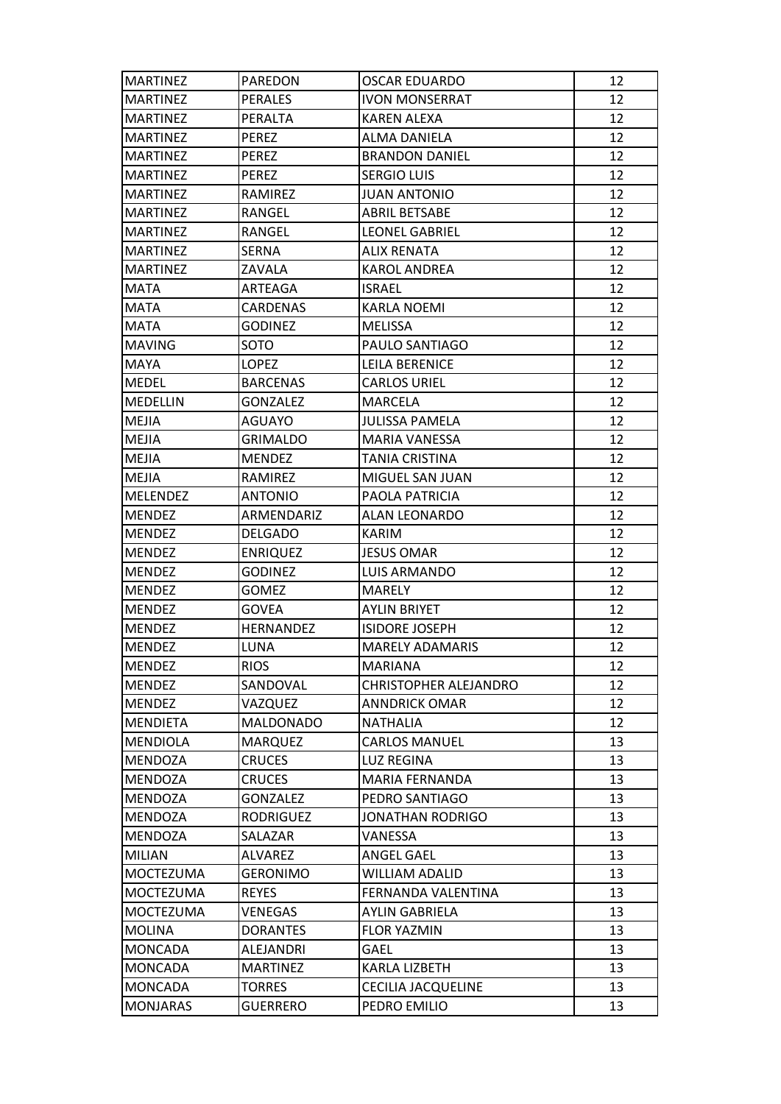| <b>MARTINEZ</b>  | <b>PAREDON</b>   | OSCAR EDUARDO          | 12 |
|------------------|------------------|------------------------|----|
| <b>MARTINEZ</b>  | <b>PERALES</b>   | <b>IVON MONSERRAT</b>  | 12 |
| <b>MARTINEZ</b>  | PERALTA          | KAREN ALEXA            | 12 |
| <b>MARTINEZ</b>  | <b>PEREZ</b>     | <b>ALMA DANIELA</b>    | 12 |
| <b>MARTINEZ</b>  | <b>PEREZ</b>     | <b>BRANDON DANIEL</b>  | 12 |
| <b>MARTINEZ</b>  | PEREZ            | <b>SERGIO LUIS</b>     | 12 |
| <b>MARTINEZ</b>  | RAMIREZ          | <b>JUAN ANTONIO</b>    | 12 |
| <b>MARTINEZ</b>  | RANGEL           | <b>ABRIL BETSABE</b>   | 12 |
| <b>MARTINEZ</b>  | RANGEL           | LEONEL GABRIEL         | 12 |
| <b>MARTINEZ</b>  | SERNA            | <b>ALIX RENATA</b>     | 12 |
| <b>MARTINEZ</b>  | ZAVALA           | KAROL ANDREA           | 12 |
| <b>MATA</b>      | ARTEAGA          | ISRAEL                 | 12 |
| <b>MATA</b>      | <b>CARDENAS</b>  | KARLA NOEMI            | 12 |
| <b>MATA</b>      | <b>GODINEZ</b>   | <b>MELISSA</b>         | 12 |
| <b>MAVING</b>    | SOTO             | PAULO SANTIAGO         | 12 |
| <b>MAYA</b>      | <b>LOPEZ</b>     | LEILA BERENICE         | 12 |
| <b>MEDEL</b>     | <b>BARCENAS</b>  | CARLOS URIEL           | 12 |
| <b>MEDELLIN</b>  | <b>GONZALEZ</b>  | MARCELA                | 12 |
| <b>MEJIA</b>     | <b>AGUAYO</b>    | <b>JULISSA PAMELA</b>  | 12 |
| MEJIA            | <b>GRIMALDO</b>  | MARIA VANESSA          | 12 |
| <b>MEJIA</b>     | MENDEZ           | TANIA CRISTINA         | 12 |
| MEJIA            | RAMIREZ          | MIGUEL SAN JUAN        | 12 |
| <b>MELENDEZ</b>  | <b>ANTONIO</b>   | PAOLA PATRICIA         | 12 |
| <b>MENDEZ</b>    | ARMENDARIZ       | <b>ALAN LEONARDO</b>   | 12 |
| <b>MENDEZ</b>    | <b>DELGADO</b>   | KARIM                  | 12 |
| <b>MENDEZ</b>    | <b>ENRIQUEZ</b>  | <b>JESUS OMAR</b>      | 12 |
| <b>MENDEZ</b>    | <b>GODINEZ</b>   | LUIS ARMANDO           | 12 |
| <b>MENDEZ</b>    | GOMEZ            | MARELY                 | 12 |
| <b>MENDEZ</b>    | <b>GOVEA</b>     | <b>AYLIN BRIYET</b>    | 12 |
| <b>MENDEZ</b>    | <b>HERNANDEZ</b> | <b>ISIDORE JOSEPH</b>  | 12 |
| <b>MENDEZ</b>    | LUNA             | <b>MARELY ADAMARIS</b> | 12 |
| <b>MENDEZ</b>    | <b>RIOS</b>      | <b>MARIANA</b>         | 12 |
| <b>MENDEZ</b>    | SANDOVAL         | CHRISTOPHER ALEJANDRO  | 12 |
| <b>MENDEZ</b>    | VAZQUEZ          | <b>ANNDRICK OMAR</b>   | 12 |
| <b>MENDIETA</b>  | <b>MALDONADO</b> | NATHALIA               | 12 |
| <b>MENDIOLA</b>  | <b>MARQUEZ</b>   | <b>CARLOS MANUEL</b>   | 13 |
| <b>MENDOZA</b>   | <b>CRUCES</b>    | <b>LUZ REGINA</b>      | 13 |
| <b>MENDOZA</b>   | <b>CRUCES</b>    | <b>MARIA FERNANDA</b>  | 13 |
| <b>MENDOZA</b>   | <b>GONZALEZ</b>  | PEDRO SANTIAGO         | 13 |
| MENDOZA          | <b>RODRIGUEZ</b> | JONATHAN RODRIGO       | 13 |
| <b>MENDOZA</b>   | SALAZAR          | VANESSA                | 13 |
| <b>MILIAN</b>    | <b>ALVAREZ</b>   | <b>ANGEL GAEL</b>      | 13 |
| <b>MOCTEZUMA</b> | <b>GERONIMO</b>  | WILLIAM ADALID         | 13 |
| <b>MOCTEZUMA</b> | <b>REYES</b>     | FERNANDA VALENTINA     | 13 |
| <b>MOCTEZUMA</b> | VENEGAS          | AYLIN GABRIELA         | 13 |
| <b>MOLINA</b>    | <b>DORANTES</b>  | <b>FLOR YAZMIN</b>     | 13 |
| <b>MONCADA</b>   | ALEJANDRI        | GAEL                   | 13 |
| <b>MONCADA</b>   | <b>MARTINEZ</b>  | KARLA LIZBETH          | 13 |
| <b>MONCADA</b>   | <b>TORRES</b>    | CECILIA JACQUELINE     | 13 |
| <b>MONJARAS</b>  | <b>GUERRERO</b>  | PEDRO EMILIO           | 13 |